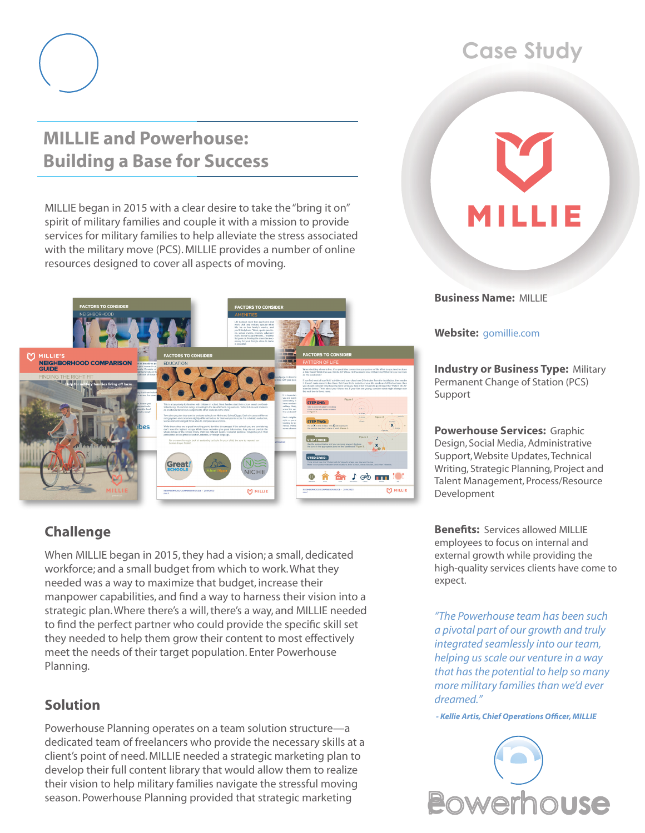

## **MILLIE and Powerhouse: Building a Base for Success**

MILLIE began in 2015 with a clear desire to take the "bring it on" spirit of military families and couple it with a mission to provide services for military families to help alleviate the stress associated with the military move (PCS). MILLIE provides a number of online resources designed to cover all aspects of moving.



## **Challenge**

When MILLIE began in 2015, they had a vision; a small, dedicated workforce; and a small budget from which to work. What they needed was a way to maximize that budget, increase their manpower capabilities, and find a way to harness their vision into a strategic plan. Where there's a will, there's a way, and MILLIE needed to find the perfect partner who could provide the specific skill set they needed to help them grow their content to most effectively meet the needs of their target population. Enter Powerhouse Planning.

## **Solution**

Powerhouse Planning operates on a team solution structure—a dedicated team of freelancers who provide the necessary skills at a client's point of need. MILLIE needed a strategic marketing plan to develop their full content library that would allow them to realize their vision to help military families navigate the stressful moving season. Powerhouse Planning provided that strategic marketing

# **Case Study**

**Business Name:** MILLIE

**Website:** [gomillie.com](https://www.gomillie.com)

**Industry or Business Type: Military** Permanent Change of Station (PCS) Support

**Powerhouse Services:** Graphic Design, Social Media, Administrative Support, Website Updates, Technical Writing, Strategic Planning, Project and Talent Management, Process/Resource Development

**Benefits:** Services allowed MILLIE employees to focus on internal and external growth while providing the high-quality services clients have come to expect.

*"The Powerhouse team has been such a pivotal part of our growth and truly integrated seamlessly into our team, helping us scale our venture in a way that has the potential to help so many more military families than we'd ever dreamed."*

 *- Kellie Artis, Chief Operations Officer, MILLIE*